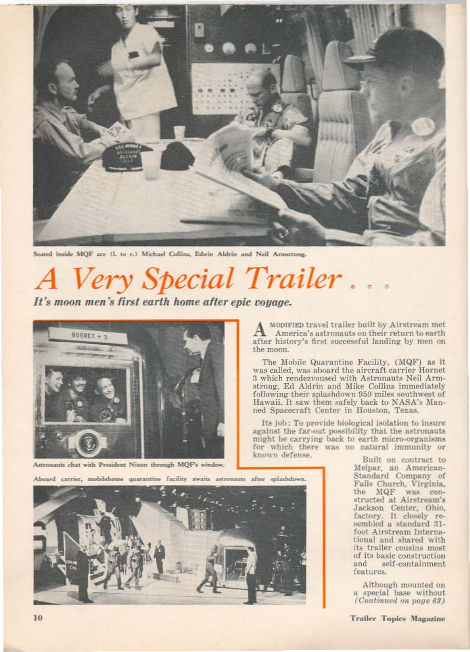

ed inside MQF are (I, to r.) Michael Collins, Edwin Aldrin and Neil Armstrong.

## A Very Special Trailer.

It's moon men's first earth home after epic voyage.



Astronauts chat with President Nixon through MQF's window.

MODIFIED travel trailer built by Airstream met America's astronauts on their return to earth after history's first successful landing by men on the moon.

The Mobile Quarantine Facility, (MQF) as it was called, was aboard the aircraft carrier Hornet 3 which rendezvoused with Astronauts Neil Armstrong, Ed Aldrin and Mike Collins immediately following their splashdown 950 miles southwest of Hawaii. It saw them safely back to NASA's Manned Spacecraft Center in Houston, Texas.

Its job: To provide biological isolation to insure against the far-out possibility that the astronauts might be carrying back to earth micro-organisms for which there was no natural immunity or known defense.

Built on contract to Melpar, an American-Standard Company of Falls Church, Virginia, the MQF was constructed at Airstream's Jackson Center, Ohio,<br>factory. It closely resembled a standard 31foot Airstream International and shared with its trailer cousins most of its basic construction and self-containment features.

Although mounted on a special base without (Continued on page 63)

**Trailer Topics Magazine** 

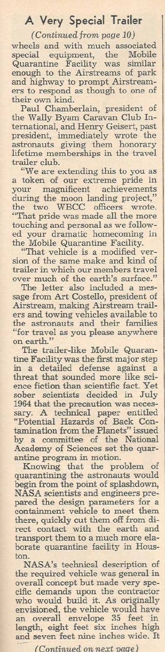## A Very Special Trailer

*(Continued from page 10)* wheels and with much associated special equipment, the Mobile Quarantine Facility was similar enough to the Airstreams of park and highway to prompt Airstreamers to respond as though to one of their own kind.

Paul Chamberlain, president of the Wally Byam Caravan Club International, and Henry Geisert, past president, immediately wrote the astronauts giving them honorary lifetime memberships in the travel trailer club.

"Weare extending this to you as a token of our extreme pride in your magnificent achievements<br>during the moon landing project,"<br>the two WBCC officers wrote. "That pride was made all the more touching and personal as we followed your dramatic homecoming in Mobile Quarantine Facility.

"That vehicle is a modified version of the same make and kind of trailer in which our members travel

over much of the earth's surface." The letter also included a message from Art Costello, president of Airstream, making Airstream trailers and towing vehicles available to the astronauts and their families "for travel as you please anywhere on earth."

The trailer-like Mobile Quarantine Facility was the first major step in a detailed defense against a threat that sounded more like sci-ence fiction than scientific fact. Yet sober scientists decided in July 1964 that the precaution was neces-sary. A technical paper entitled "Potential Hazards of Back Con-tamination from the Planets" issued by a committee of the National Academy of Sciences set the quarantine program in motion.

Knowing that the problem of quarantining the astronauts would begin from the point of splashdown, NASA scientists and engineers prepared the design parameters for a containment vehicle to meet them there, quickly cut them off from di-rect contact with the earth and transport them to a much more elaborate quarantine facility in Houston.

NASA's technical description of the required vehicle was general in overall concept but made very spe\_ cific demands upon the contractor who would build it. As originally envisioned, the vehicle would have an overall envelope <sup>35</sup> feet in length, eight feet six inches high and seven feet nine inches wide. It

(Continued on next page)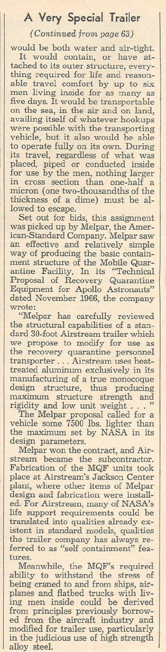## A Very Special Trailer

*(Continued from page 63)*

would be both water and air-tight. It would contain, or have attached to its outer structure, everything required for life and reasonable travel comfort by up to six<br>men living inside for as many as<br>five days. It would be transportable on the sea, in the air and on land, availing itself of whatever hookups were possible with the transporting vehicle, but it also would be able to operate fully on its own. During its travel, regardless of what was placed, piped or conducted inside for use by the men, nothing larger in cross section than one-half a micron (one two-thousandths of the thickness of a dime) must be allowed to escape.

Set out for bids, this assignment was picked up by Melpar, the Amer-ican-Standard Company. Melpar saw an effective and relatively simple way of producing the basic contain-ment structure of the Mobile Quarantine Facility. In its "Technical Proposal of Recovery Quarantine Equipment for Apollo Astronauts" dated November 1966, the company wrote:

"Melpar has carefully reviewed the structural capabilities of a standard 30-foot Airstream trailer which we propose to modify for use as the recovery quarantine personnel transporter ... Airstream uses heat-treated aluminum exclusively in its manufacturing of a true monocoque design structure, thus producing maximum structure strength and rigidity and low unit weight ... " The Melpar proposal called for <sup>a</sup>

vehicle some 7500 lbs. lighter than the maximum set by NASA in its design parameters.

Melpar won the contract, and Airstream became the subcontractor. Fabrication of the MQF units took place at Airstream's Jackson Center plant, where other items of Melpar design and fabrication were installed. For Airstream, many of NASA's life support requirements could be translated into qualities already existent in standard models, qualities the trailer company has always referred to as "self containment" features.

Meanwhile, the MQF's required ability to withstand the stress of being craned to and from ships, airplanes and flatbed trucks with living men inside could be derived from principles previously borrowed from the aircraft industry and modified for trailer use, particularly in the judicious use of high strength alloy steel.